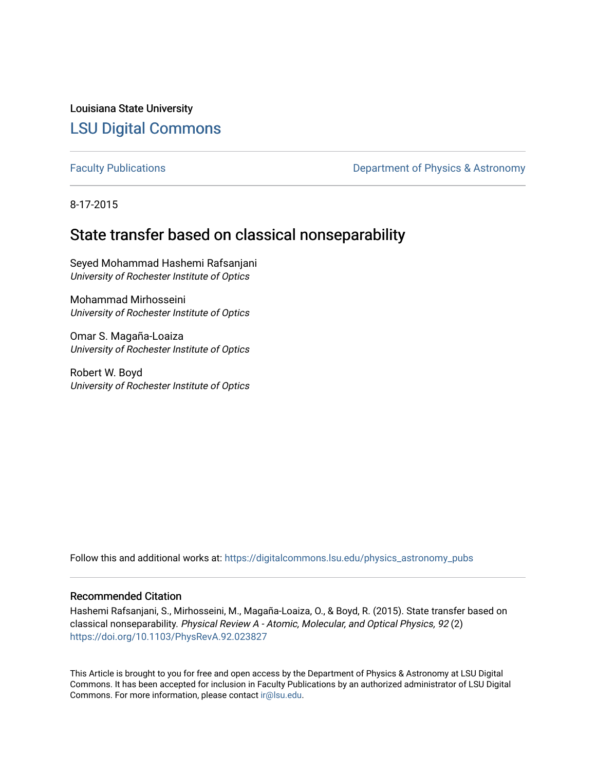Louisiana State University [LSU Digital Commons](https://digitalcommons.lsu.edu/)

[Faculty Publications](https://digitalcommons.lsu.edu/physics_astronomy_pubs) **Exercise 2 and Table 2 and Table 2 and Table 2 and Table 2 and Table 2 and Table 2 and Table 2 and Table 2 and Table 2 and Table 2 and Table 2 and Table 2 and Table 2 and Table 2 and Table 2 and Table** 

8-17-2015

# State transfer based on classical nonseparability

Seyed Mohammad Hashemi Rafsanjani University of Rochester Institute of Optics

Mohammad Mirhosseini University of Rochester Institute of Optics

Omar S. Magaña-Loaiza University of Rochester Institute of Optics

Robert W. Boyd University of Rochester Institute of Optics

Follow this and additional works at: [https://digitalcommons.lsu.edu/physics\\_astronomy\\_pubs](https://digitalcommons.lsu.edu/physics_astronomy_pubs?utm_source=digitalcommons.lsu.edu%2Fphysics_astronomy_pubs%2F3004&utm_medium=PDF&utm_campaign=PDFCoverPages) 

## Recommended Citation

Hashemi Rafsanjani, S., Mirhosseini, M., Magaña-Loaiza, O., & Boyd, R. (2015). State transfer based on classical nonseparability. Physical Review A - Atomic, Molecular, and Optical Physics, 92 (2) <https://doi.org/10.1103/PhysRevA.92.023827>

This Article is brought to you for free and open access by the Department of Physics & Astronomy at LSU Digital Commons. It has been accepted for inclusion in Faculty Publications by an authorized administrator of LSU Digital Commons. For more information, please contact [ir@lsu.edu](mailto:ir@lsu.edu).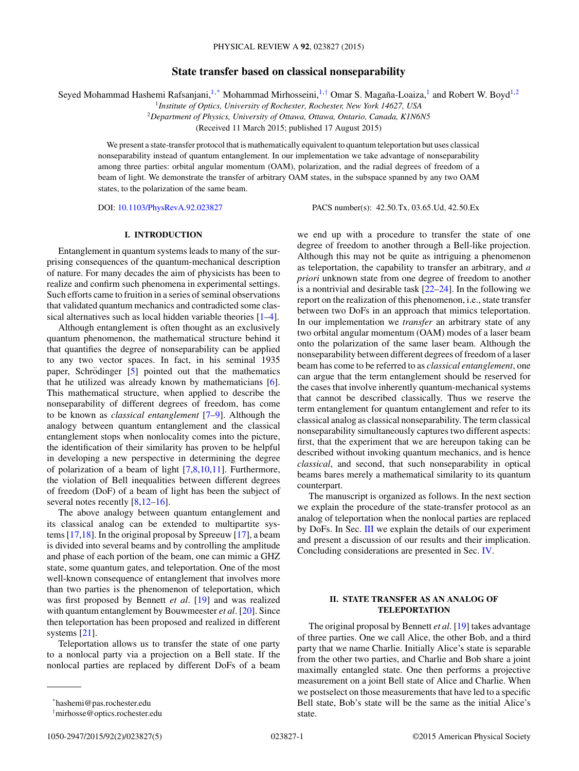## **State transfer based on classical nonseparability**

Seyed Mohammad Hashemi Rafsanjani,<sup>1,\*</sup> Mohammad Mirhosseini,<sup>1,†</sup> Omar S. Magaña-Loaiza,<sup>1</sup> and Robert W. Boyd<sup>1,2</sup>

<sup>1</sup>*Institute of Optics, University of Rochester, Rochester, New York 14627, USA*

<sup>2</sup>*Department of Physics, University of Ottawa, Ottawa, Ontario, Canada, K1N6N5*

(Received 11 March 2015; published 17 August 2015)

We present a state-transfer protocol that is mathematically equivalent to quantum teleportation but uses classical nonseparability instead of quantum entanglement. In our implementation we take advantage of nonseparability among three parties: orbital angular momentum (OAM), polarization, and the radial degrees of freedom of a beam of light. We demonstrate the transfer of arbitrary OAM states, in the subspace spanned by any two OAM states, to the polarization of the same beam.

DOI: [10.1103/PhysRevA.92.023827](http://dx.doi.org/10.1103/PhysRevA.92.023827) PACS number(s): 42*.*50*.*Tx*,* 03*.*65*.*Ud*,* 42*.*50*.*Ex

we end up with a procedure to transfer the state of one

#### **I. INTRODUCTION**

Entanglement in quantum systems leads to many of the surprising consequences of the quantum-mechanical description of nature. For many decades the aim of physicists has been to realize and confirm such phenomena in experimental settings. Such efforts came to fruition in a series of seminal observations that validated quantum mechanics and contradicted some classical alternatives such as local hidden variable theories [\[1–4\]](#page-5-0).

Although entanglement is often thought as an exclusively quantum phenomenon, the mathematical structure behind it that quantifies the degree of nonseparability can be applied to any two vector spaces. In fact, in his seminal 1935 paper, Schrödinger  $[5]$  $[5]$  pointed out that the mathematics that he utilized was already known by mathematicians [\[6\]](#page-5-0). This mathematical structure, when applied to describe the nonseparability of different degrees of freedom, has come to be known as *classical entanglement* [\[7–9\]](#page-5-0). Although the analogy between quantum entanglement and the classical entanglement stops when nonlocality comes into the picture, the identification of their similarity has proven to be helpful in developing a new perspective in determining the degree of polarization of a beam of light [\[7,8,10,11\]](#page-5-0). Furthermore, the violation of Bell inequalities between different degrees of freedom (DoF) of a beam of light has been the subject of several notes recently [\[8,12–16\]](#page-5-0).

The above analogy between quantum entanglement and its classical analog can be extended to multipartite systems [\[17,18\]](#page-5-0). In the original proposal by Spreeuw [\[17\]](#page-5-0), a beam is divided into several beams and by controlling the amplitude and phase of each portion of the beam, one can mimic a GHZ state, some quantum gates, and teleportation. One of the most well-known consequence of entanglement that involves more than two parties is the phenomenon of teleportation, which was first proposed by Bennett *et al*. [\[19\]](#page-5-0) and was realized with quantum entanglement by Bouwmeester *et al*. [\[20\]](#page-5-0). Since then teleportation has been proposed and realized in different systems [\[21\]](#page-5-0).

Teleportation allows us to transfer the state of one party to a nonlocal party via a projection on a Bell state. If the nonlocal parties are replaced by different DoFs of a beam degree of freedom to another through a Bell-like projection. Although this may not be quite as intriguing a phenomenon as teleportation, the capability to transfer an arbitrary, and *a priori* unknown state from one degree of freedom to another is a nontrivial and desirable task [\[22–24\]](#page-5-0). In the following we report on the realization of this phenomenon, i.e., state transfer between two DoFs in an approach that mimics teleportation. In our implementation we *transfer* an arbitrary state of any two orbital angular momentum (OAM) modes of a laser beam onto the polarization of the same laser beam. Although the nonseparability between different degrees of freedom of a laser beam has come to be referred to as *classical entanglement*, one can argue that the term entanglement should be reserved for the cases that involve inherently quantum-mechanical systems that cannot be described classically. Thus we reserve the term entanglement for quantum entanglement and refer to its classical analog as classical nonseparability. The term classical nonseparability simultaneously captures two different aspects: first, that the experiment that we are hereupon taking can be described without invoking quantum mechanics, and is hence *classical*, and second, that such nonseparability in optical beams bares merely a mathematical similarity to its quantum counterpart.

The manuscript is organized as follows. In the next section we explain the procedure of the state-transfer protocol as an analog of teleportation when the nonlocal parties are replaced by DoFs. In Sec. [III](#page-2-0) we explain the details of our experiment and present a discussion of our results and their implication. Concluding considerations are presented in Sec. [IV.](#page-4-0)

## **II. STATE TRANSFER AS AN ANALOG OF TELEPORTATION**

The original proposal by Bennett *et al*. [\[19\]](#page-5-0) takes advantage of three parties. One we call Alice, the other Bob, and a third party that we name Charlie. Initially Alice's state is separable from the other two parties, and Charlie and Bob share a joint maximally entangled state. One then performs a projective measurement on a joint Bell state of Alice and Charlie. When we postselect on those measurements that have led to a specific Bell state, Bob's state will be the same as the initial Alice's state.

<sup>\*</sup>hashemi@pas.rochester.edu

<sup>†</sup> mirhosse@optics.rochester.edu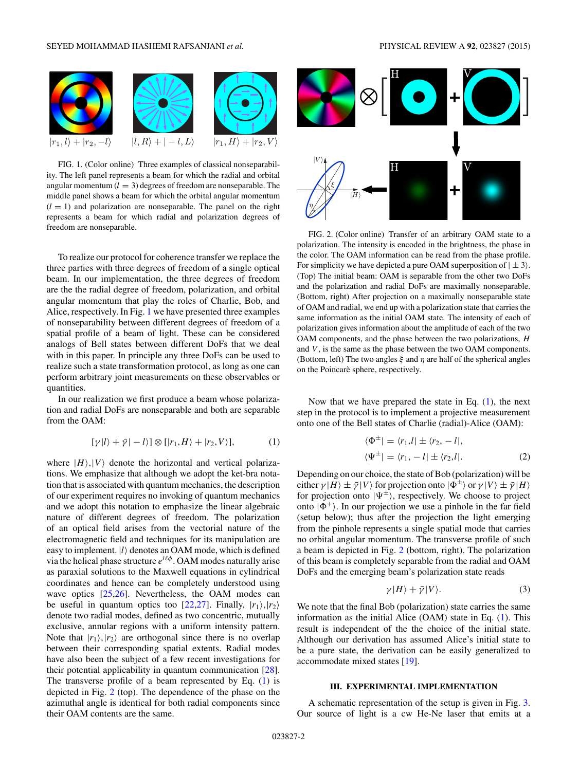<span id="page-2-0"></span>

FIG. 1. (Color online) Three examples of classical nonseparability. The left panel represents a beam for which the radial and orbital angular momentum  $(l = 3)$  degrees of freedom are nonseparable. The middle panel shows a beam for which the orbital angular momentum  $(l = 1)$  and polarization are nonseparable. The panel on the right represents a beam for which radial and polarization degrees of freedom are nonseparable.

To realize our protocol for coherence transfer we replace the three parties with three degrees of freedom of a single optical beam. In our implementation, the three degrees of freedom are the the radial degree of freedom, polarization, and orbital angular momentum that play the roles of Charlie, Bob, and Alice, respectively. In Fig. 1 we have presented three examples of nonseparability between different degrees of freedom of a spatial profile of a beam of light. These can be considered analogs of Bell states between different DoFs that we deal with in this paper. In principle any three DoFs can be used to realize such a state transformation protocol, as long as one can perform arbitrary joint measurements on these observables or quantities.

In our realization we first produce a beam whose polarization and radial DoFs are nonseparable and both are separable from the OAM:

$$
[\gamma|l\rangle + \bar{\gamma}|-l\rangle] \otimes [|r_1, H\rangle + |r_2, V\rangle], \tag{1}
$$

where  $|H\rangle$ ,  $|V\rangle$  denote the horizontal and vertical polarizations. We emphasize that although we adopt the ket-bra notation that is associated with quantum mechanics, the description of our experiment requires no invoking of quantum mechanics and we adopt this notation to emphasize the linear algebraic nature of different degrees of freedom. The polarization of an optical field arises from the vectorial nature of the electromagnetic field and techniques for its manipulation are easy to implement.  $|l\rangle$  denotes an OAM mode, which is defined via the helical phase structure  $e^{i\ell\phi}$ . OAM modes naturally arise as paraxial solutions to the Maxwell equations in cylindrical coordinates and hence can be completely understood using wave optics [\[25,26\]](#page-5-0). Nevertheless, the OAM modes can be useful in quantum optics too [\[22,27\]](#page-5-0). Finally,  $|r_1\rangle$ ,  $|r_2\rangle$ denote two radial modes, defined as two concentric, mutually exclusive, annular regions with a uniform intensity pattern. Note that  $|r_1\rangle$ ,  $|r_2\rangle$  are orthogonal since there is no overlap between their corresponding spatial extents. Radial modes have also been the subject of a few recent investigations for their potential applicability in quantum communication [\[28\]](#page-5-0). The transverse profile of a beam represented by Eq. (1) is depicted in Fig. 2 (top). The dependence of the phase on the azimuthal angle is identical for both radial components since their OAM contents are the same.



FIG. 2. (Color online) Transfer of an arbitrary OAM state to a polarization. The intensity is encoded in the brightness, the phase in the color. The OAM information can be read from the phase profile. For simplicity we have depicted a pure OAM superposition of  $|\pm 3\rangle$ . (Top) The initial beam: OAM is separable from the other two DoFs and the polarization and radial DoFs are maximally nonseparable. (Bottom, right) After projection on a maximally nonseparable state of OAM and radial, we end up with a polarization state that carries the same information as the initial OAM state. The intensity of each of polarization gives information about the amplitude of each of the two OAM components, and the phase between the two polarizations, *H* and *V* , is the same as the phase between the two OAM components. (Bottom, left) The two angles *ξ* and *η* are half of the spherical angles on the Poincarè sphere, respectively.

Now that we have prepared the state in Eq.  $(1)$ , the next step in the protocol is to implement a projective measurement onto one of the Bell states of Charlie (radial)-Alice (OAM):

$$
\langle \Phi^{\pm} | = \langle r_1, l | \pm \langle r_2, -l |,
$$
  

$$
\langle \Psi^{\pm} | = \langle r_1, -l | \pm \langle r_2, l |.
$$
 (2)

Depending on our choice, the state of Bob (polarization) will be either  $\gamma$  |*H*  $\rangle \pm \bar{\gamma}$ |*V* $\rangle$  for projection onto  $|\Phi^{\pm}\rangle$  or  $\gamma$ |*V* $\rangle \pm \bar{\gamma}$ |*H* $\rangle$ for projection onto  $|\Psi^{\pm}\rangle$ , respectively. We choose to project onto  $|\Phi^+\rangle$ . In our projection we use a pinhole in the far field (setup below); thus after the projection the light emerging from the pinhole represents a single spatial mode that carries no orbital angular momentum. The transverse profile of such a beam is depicted in Fig. 2 (bottom, right). The polarization of this beam is completely separable from the radial and OAM DoFs and the emerging beam's polarization state reads

$$
\gamma|H\rangle + \bar{\gamma}|V\rangle. \tag{3}
$$

We note that the final Bob (polarization) state carries the same information as the initial Alice (OAM) state in Eq. (1). This result is independent of the the choice of the initial state. Although our derivation has assumed Alice's initial state to be a pure state, the derivation can be easily generalized to accommodate mixed states [\[19\]](#page-5-0).

#### **III. EXPERIMENTAL IMPLEMENTATION**

A schematic representation of the setup is given in Fig. [3.](#page-3-0) Our source of light is a cw He-Ne laser that emits at a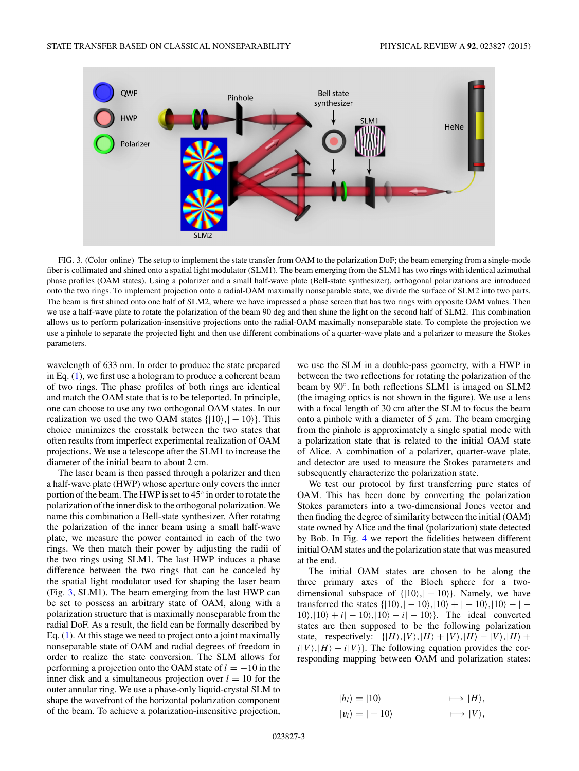<span id="page-3-0"></span>

FIG. 3. (Color online) The setup to implement the state transfer from OAM to the polarization DoF; the beam emerging from a single-mode fiber is collimated and shined onto a spatial light modulator (SLM1). The beam emerging from the SLM1 has two rings with identical azimuthal phase profiles (OAM states). Using a polarizer and a small half-wave plate (Bell-state synthesizer), orthogonal polarizations are introduced onto the two rings. To implement projection onto a radial-OAM maximally nonseparable state, we divide the surface of SLM2 into two parts. The beam is first shined onto one half of SLM2, where we have impressed a phase screen that has two rings with opposite OAM values. Then we use a half-wave plate to rotate the polarization of the beam 90 deg and then shine the light on the second half of SLM2. This combination allows us to perform polarization-insensitive projections onto the radial-OAM maximally nonseparable state. To complete the projection we use a pinhole to separate the projected light and then use different combinations of a quarter-wave plate and a polarizer to measure the Stokes parameters.

wavelength of 633 nm. In order to produce the state prepared in Eq.  $(1)$ , we first use a hologram to produce a coherent beam of two rings. The phase profiles of both rings are identical and match the OAM state that is to be teleported. In principle, one can choose to use any two orthogonal OAM states. In our realization we used the two OAM states  $\{ |10\rangle, |-10\rangle \}$ . This choice minimizes the crosstalk between the two states that often results from imperfect experimental realization of OAM projections. We use a telescope after the SLM1 to increase the diameter of the initial beam to about 2 cm.

The laser beam is then passed through a polarizer and then a half-wave plate (HWP) whose aperture only covers the inner portion of the beam. The HWP is set to 45◦ in order to rotate the polarization of the inner disk to the orthogonal polarization. We name this combination a Bell-state synthesizer. After rotating the polarization of the inner beam using a small half-wave plate, we measure the power contained in each of the two rings. We then match their power by adjusting the radii of the two rings using SLM1. The last HWP induces a phase difference between the two rings that can be canceled by the spatial light modulator used for shaping the laser beam (Fig. 3, SLM1). The beam emerging from the last HWP can be set to possess an arbitrary state of OAM, along with a polarization structure that is maximally nonseparable from the radial DoF. As a result, the field can be formally described by Eq. [\(1\)](#page-2-0). At this stage we need to project onto a joint maximally nonseparable state of OAM and radial degrees of freedom in order to realize the state conversion. The SLM allows for performing a projection onto the OAM state of *l* = −10 in the inner disk and a simultaneous projection over  $l = 10$  for the outer annular ring. We use a phase-only liquid-crystal SLM to shape the wavefront of the horizontal polarization component of the beam. To achieve a polarization-insensitive projection,

we use the SLM in a double-pass geometry, with a HWP in between the two reflections for rotating the polarization of the beam by 90◦. In both reflections SLM1 is imaged on SLM2 (the imaging optics is not shown in the figure). We use a lens with a focal length of 30 cm after the SLM to focus the beam onto a pinhole with a diameter of  $5 \mu$ m. The beam emerging from the pinhole is approximately a single spatial mode with a polarization state that is related to the initial OAM state of Alice. A combination of a polarizer, quarter-wave plate, and detector are used to measure the Stokes parameters and subsequently characterize the polarization state.

We test our protocol by first transferring pure states of OAM. This has been done by converting the polarization Stokes parameters into a two-dimensional Jones vector and then finding the degree of similarity between the initial (OAM) state owned by Alice and the final (polarization) state detected by Bob. In Fig. [4](#page-4-0) we report the fidelities between different initial OAM states and the polarization state that was measured at the end.

The initial OAM states are chosen to be along the three primary axes of the Bloch sphere for a twodimensional subspace of  $\{|10\rangle, |-10\rangle\}$ . Namely, we have transferred the states  $\{|10\rangle, |-10\rangle, |10\rangle + |-10\rangle, |10\rangle - | |10\rangle, |10\rangle + i| - |10\rangle, |10\rangle - i| - |10\rangle$ . The ideal converted states are then supposed to be the following polarization state, respectively:  $\{|H\rangle, |V\rangle, |H\rangle + |V\rangle, |H\rangle - |V\rangle, |H\rangle +$  $i|V\rangle, |H\rangle - i|V\rangle$ . The following equation provides the corresponding mapping between OAM and polarization states:

$$
|h_l\rangle = |10\rangle \qquad \qquad \longmapsto |H\rangle,
$$
  

$$
|v_l\rangle = |-10\rangle \qquad \qquad \longmapsto |V\rangle,
$$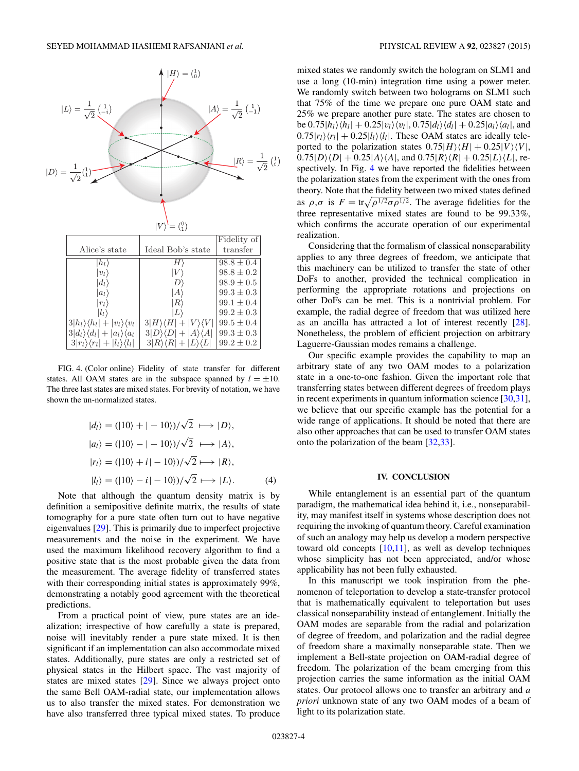<span id="page-4-0"></span>

FIG. 4. (Color online) Fidelity of state transfer for different states. All OAM states are in the subspace spanned by  $l = \pm 10$ . The three last states are mixed states. For brevity of notation, we have shown the un-normalized states.

$$
|d_l\rangle = (|10\rangle + |-10\rangle)/\sqrt{2} \longrightarrow |D\rangle,
$$
  
\n
$$
|a_l\rangle = (|10\rangle - |-10\rangle)/\sqrt{2} \longrightarrow |A\rangle,
$$
  
\n
$$
|r_l\rangle = (|10\rangle + i| - 10\rangle)/\sqrt{2} \longrightarrow |R\rangle,
$$
  
\n
$$
|l_l\rangle = (|10\rangle - i| - 10\rangle)/\sqrt{2} \longrightarrow |L\rangle.
$$
 (4)

Note that although the quantum density matrix is by definition a semipositive definite matrix, the results of state tomography for a pure state often turn out to have negative eigenvalues [\[29\]](#page-5-0). This is primarily due to imperfect projective measurements and the noise in the experiment. We have used the maximum likelihood recovery algorithm to find a positive state that is the most probable given the data from the measurement. The average fidelity of transferred states with their corresponding initial states is approximately 99%, demonstrating a notably good agreement with the theoretical predictions.

From a practical point of view, pure states are an idealization; irrespective of how carefully a state is prepared, noise will inevitably render a pure state mixed. It is then significant if an implementation can also accommodate mixed states. Additionally, pure states are only a restricted set of physical states in the Hilbert space. The vast majority of states are mixed states [\[29\]](#page-5-0). Since we always project onto the same Bell OAM-radial state, our implementation allows us to also transfer the mixed states. For demonstration we have also transferred three typical mixed states. To produce mixed states we randomly switch the hologram on SLM1 and use a long (10-min) integration time using a power meter. We randomly switch between two holograms on SLM1 such that 75% of the time we prepare one pure OAM state and 25% we prepare another pure state. The states are chosen to be  $0.75|h_l\rangle\langle h_l| + 0.25|v_l\rangle\langle v_l|, 0.75|d_l\rangle\langle d_l| + 0.25|a_l\rangle\langle a_l|$ , and  $0.75|r_l\rangle\langle r_l| + 0.25|l_l\rangle\langle l_l|$ . These OAM states are ideally teleported to the polarization states  $0.75|H\rangle\langle H| + 0.25|V\rangle\langle V|$ ,  $(0.75|D)\langle D| + (0.25|A)\langle A|,$  and  $(0.75|R)\langle R| + (0.25|L)\langle L|,$  respectively. In Fig. 4 we have reported the fidelities between the polarization states from the experiment with the ones from theory. Note that the fidelity between two mixed states defined as  $\rho, \sigma$  is  $F = \text{tr} \sqrt{\rho^{1/2} \sigma \rho^{1/2}}$ . The average fidelities for the three representative mixed states are found to be 99.33%, which confirms the accurate operation of our experimental realization.

Considering that the formalism of classical nonseparability applies to any three degrees of freedom, we anticipate that this machinery can be utilized to transfer the state of other DoFs to another, provided the technical complication in performing the appropriate rotations and projections on other DoFs can be met. This is a nontrivial problem. For example, the radial degree of freedom that was utilized here as an ancilla has attracted a lot of interest recently [\[28\]](#page-5-0). Nonetheless, the problem of efficient projection on arbitrary Laguerre-Gaussian modes remains a challenge.

Our specific example provides the capability to map an arbitrary state of any two OAM modes to a polarization state in a one-to-one fashion. Given the important role that transferring states between different degrees of freedom plays in recent experiments in quantum information science [\[30,31\]](#page-5-0), we believe that our specific example has the potential for a wide range of applications. It should be noted that there are also other approaches that can be used to transfer OAM states onto the polarization of the beam [\[32,33\]](#page-5-0).

## **IV. CONCLUSION**

While entanglement is an essential part of the quantum paradigm, the mathematical idea behind it, i.e., nonseparability, may manifest itself in systems whose description does not requiring the invoking of quantum theory. Careful examination of such an analogy may help us develop a modern perspective toward old concepts  $[10,11]$ , as well as develop techniques whose simplicity has not been appreciated, and/or whose applicability has not been fully exhausted.

In this manuscript we took inspiration from the phenomenon of teleportation to develop a state-transfer protocol that is mathematically equivalent to teleportation but uses classical nonseparability instead of entanglement. Initially the OAM modes are separable from the radial and polarization of degree of freedom, and polarization and the radial degree of freedom share a maximally nonseparable state. Then we implement a Bell-state projection on OAM-radial degree of freedom. The polarization of the beam emerging from this projection carries the same information as the initial OAM states. Our protocol allows one to transfer an arbitrary and *a priori* unknown state of any two OAM modes of a beam of light to its polarization state.